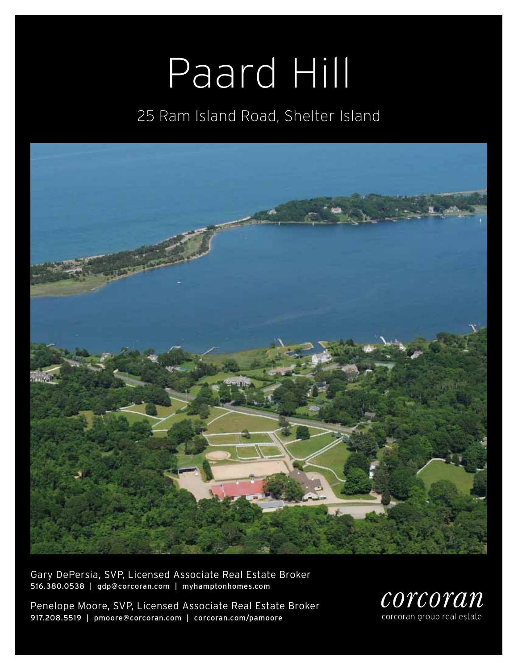# Paard Hill

### 25 Ram Island Road, Shelter Island



Gary DePersia, SVP, Licensed Associate Real Estate Broker 516.380.0538 | gdp@corcoran.com | myhamptonhomes.com

Penelope Moore, SVP, Licensed Associate Real Estate Broker 917.208.5519 | pmoore@corcoran.com | corcoran.com/pamoore

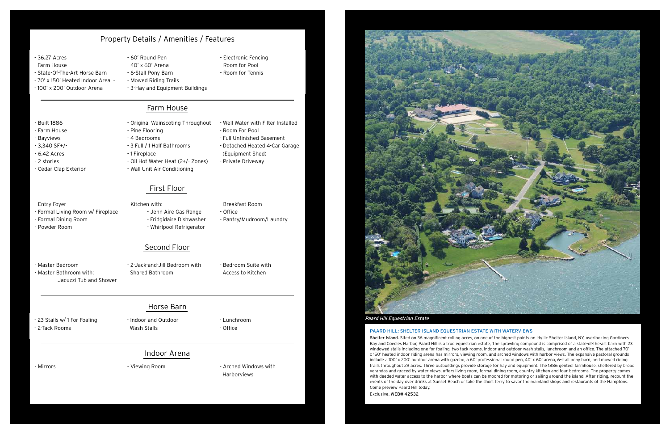#### Paard Hill: Shelter Island Equestrian estate with waterviews

Shelter Island. Sited on 36 magnificent rolling acres, on one of the highest points on idyllic Shelter Island, NY, overlooking Gardiners Bay and Coecles Harbor, Paard Hill is a true equestrian estate, The sprawling compound is comprised of a state-of-the-art barn with 23 windowed stalls including one for foaling, two tack rooms, indoor and outdoor wash stalls, lunchroom and an office. The attached 70' x 150' heated indoor riding arena has mirrors, viewing room, and arched windows with harbor views. The expansive pastoral grounds include a 100' x 200' outdoor arena with gazebo, a 60' professional round pen, 40' x 60' arena, 6-stall pony barn, and mowed riding trails throughout 29 acres. Three outbuildings provide storage for hay and equipment. The 1886 genteel farmhouse, sheltered by broad verandas and graced by water views, offers living room, formal dining room, country kitchen and four bedrooms. The property comes with deeded water access to the harbor where boats can be moored for motoring or sailing around the island. After riding, recount the events of the day over drinks at Sunset Beach or take the short ferry to savor the mainland shops and restaurants of the Hamptons. Come preview Paard Hill today.

Exclusive. WEB# 42532

- 2-Tack Rooms

- Indoor and Outdoor Wash Stalls

- Lunchroom - Office

- Mirrors - Viewing Room - Arched Windows with Harborviews

#### - 36.27 Acres

- Farm House
- State-Of-The-Art Horse Barn
- 70' x 150' Heated Indoor Area -
- 100' x 200' Outdoor Arena
- 60' Round Pen
- 40' x 60' Arena
- 6-Stall Pony Barn
	- Mowed Riding Trails
	- 3-Hay and Equipment Buildings

- Electronic Fencing - Room for Pool - Room for Tennis

#### Property Details / Amenities / Features

#### Farm House

- Built 1886
- Farm House
- Bayviews
- 3,340 SF+/-
- 6.42 Acres
- 2 stories

- Cedar Clap Exterior

- Room For Pool

- Well Water with Filter Installed - Full Unfinished Basement - Detached Heated 4-Car Garage



#### - 23 Stalls w/ 1 For Foaling external of the late of the late of the late of the late of the late of the late of the late of the late of the late of the late of the late of the late of the late of the late of the late of t

- Original Wainscoting Throughout - Pine Flooring
- 4 Bedrooms
- 3 Full / 1 Half Bathrooms
- 1 Fireplace
- Oil Hot Water Heat (2+/- Zones)
- Wall Unit Air Conditioning
	- First Floor
- Kitchen with:
	- Jenn Aire Gas Range - Fridgidaire Dishwasher
	- Whirlpool Refrigerator
- Breakfast Room - Office

 (Equipment Shed) - Private Driveway

- Entry Foyer

- Formal Living Room w/ Fireplace

- Formal Dining Room - Powder Room

- Pantry/Mudroom/Laundry

- Master Bedroom - Master Bathroom with: - Jacuzzi Tub and Shower

- 2-Jack-and-Jill Bedroom with Shared Bathroom
- Bedroom Suite with Access to Kitchen

#### Second Floor

#### Horse Barn

#### Indoor Arena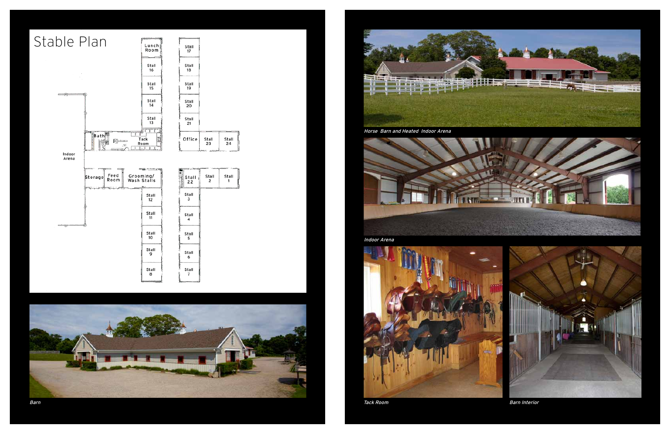





Horse Barn and Heated Indoor Arena



Tack Room **Barn Interior** 



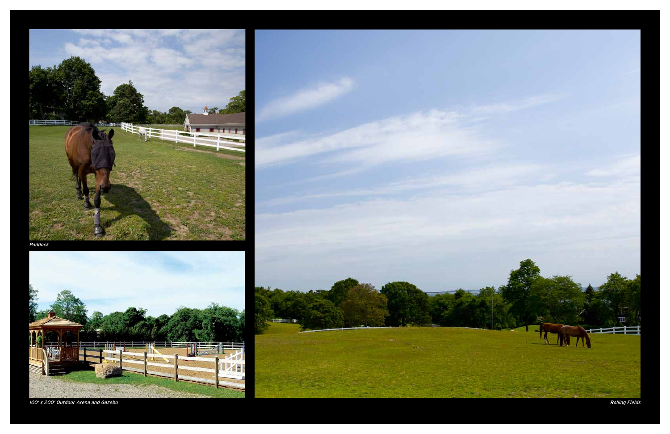Rolling Fields



Paddock





100' x 200' Outdoor Arena and Gazebo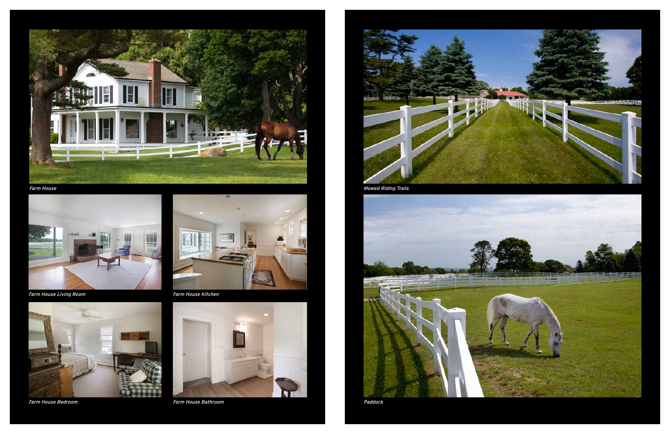

Farm House











Mowed Riding Trails

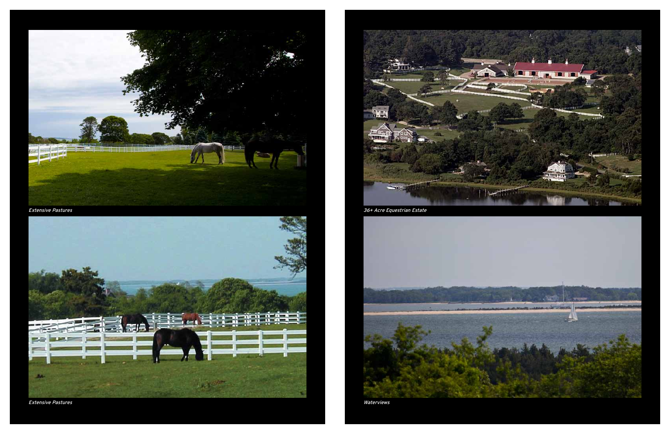Waterviews



Extensive Pastures



Extensive Pastures